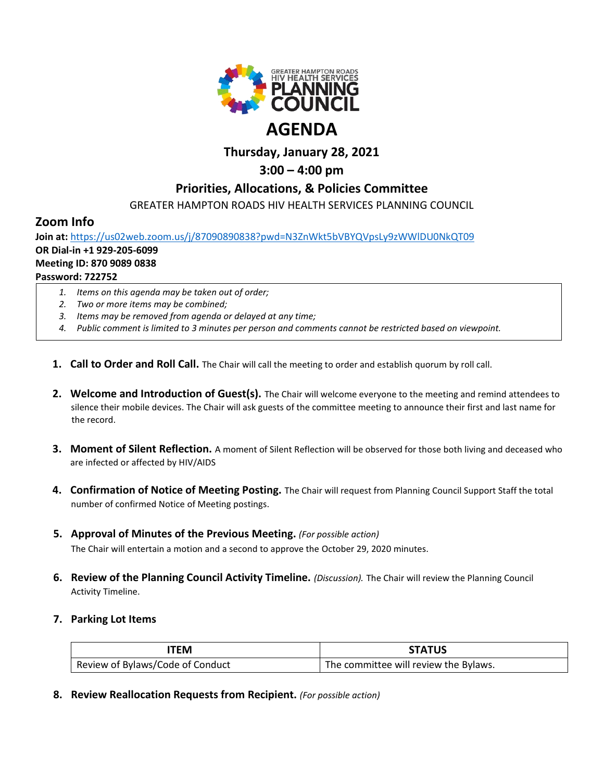

# **Thursday, January 28, 2021**

# **3:00 – 4:00 pm**

## **Priorities, Allocations, & Policies Committee**

GREATER HAMPTON ROADS HIV HEALTH SERVICES PLANNING COUNCIL

### **Zoom Info**

**Join at:** <https://us02web.zoom.us/j/87090890838?pwd=N3ZnWkt5bVBYQVpsLy9zWWlDU0NkQT09> **OR Dial-in +1 929-205-6099 Meeting ID: 870 9089 0838 Password: 722752**

- *1. Items on this agenda may be taken out of order;*
- *2. Two or more items may be combined;*
- *3. Items may be removed from agenda or delayed at any time;*
- *4. Public comment is limited to 3 minutes per person and comments cannot be restricted based on viewpoint.*
- **1. Call to Order and Roll Call.** The Chair will call the meeting to order and establish quorum by roll call.
- **2. Welcome and Introduction of Guest(s).** The Chair will welcome everyone to the meeting and remind attendees to silence their mobile devices. The Chair will ask guests of the committee meeting to announce their first and last name for the record.
- **3. Moment of Silent Reflection.** A moment of Silent Reflection will be observed for those both living and deceased who are infected or affected by HIV/AIDS
- **4. Confirmation of Notice of Meeting Posting.** The Chair will request from Planning Council Support Staff the total number of confirmed Notice of Meeting postings.
- **5. Approval of Minutes of the Previous Meeting.** *(For possible action)* The Chair will entertain a motion and a second to approve the October 29, 2020 minutes.
- **6. Review of the Planning Council Activity Timeline.** *(Discussion).* The Chair will review the Planning Council Activity Timeline.
- **7. Parking Lot Items**

| TEM                              | STATUS                                             |
|----------------------------------|----------------------------------------------------|
| Review of Bylaws/Code of Conduct | <sup>1</sup> The committee will review the Bylaws. |

**8. Review Reallocation Requests from Recipient.** *(For possible action)*